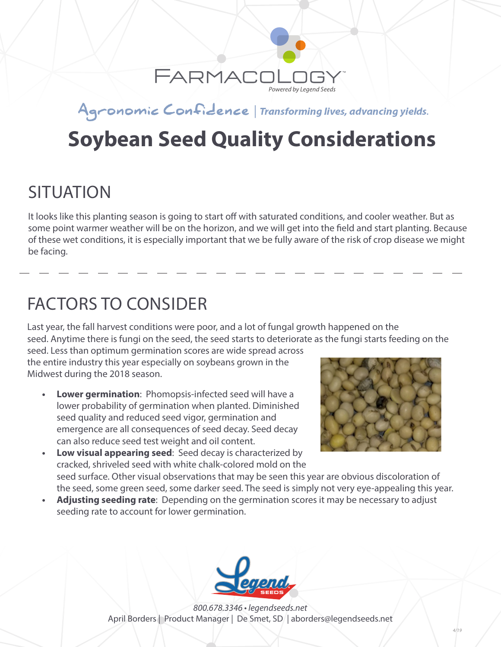

#### Agronomic Confidence | Transforming lives, advancing yields.

# **Soybean Seed Quality Considerations**

#### **SITUATION**

It looks like this planting season is going to start off with saturated conditions, and cooler weather. But as some point warmer weather will be on the horizon, and we will get into the field and start planting. Because of these wet conditions, it is especially important that we be fully aware of the risk of crop disease we might be facing.

#### FACTORS TO CONSIDER

Last year, the fall harvest conditions were poor, and a lot of fungal growth happened on the seed. Anytime there is fungi on the seed, the seed starts to deteriorate as the fungi starts feeding on the

seed. Less than optimum germination scores are wide spread across the entire industry this year especially on soybeans grown in the Midwest during the 2018 season.

**• Lower germination**: Phomopsis-infected seed will have a lower probability of germination when planted. Diminished seed quality and reduced seed vigor, germination and emergence are all consequences of seed decay. Seed decay can also reduce seed test weight and oil content.



- **• Low visual appearing seed**: Seed decay is characterized by cracked, shriveled seed with white chalk-colored mold on the seed surface. Other visual observations that may be seen this year are obvious discoloration of the seed, some green seed, some darker seed. The seed is simply not very eye-appealing this year.
- **• Adjusting seeding rate**: Depending on the germination scores it may be necessary to adjust seeding rate to account for lower germination.



*800.678.3346 • legendseeds.net* April Borders | Product Manager | De Smet, SD | aborders@legendseeds.net